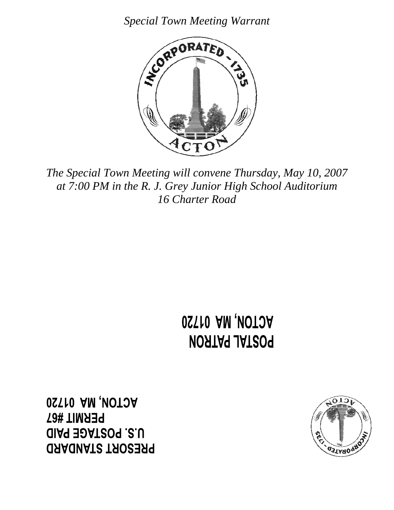*Special Town Meeting Warrant* 



*The Special Town Meeting will convene Thursday, May 10, 2007 at 7:00 PM in the R. J. Grey Junior High School Auditorium 16 Charter Road* 

> **OSTIO AM, VOTOA** POSTAL PATRON

**OSTIO AM, MOTOA PERMIT #67 UIS. POSTAGE PAID ORAQUATS TAOSER9** 

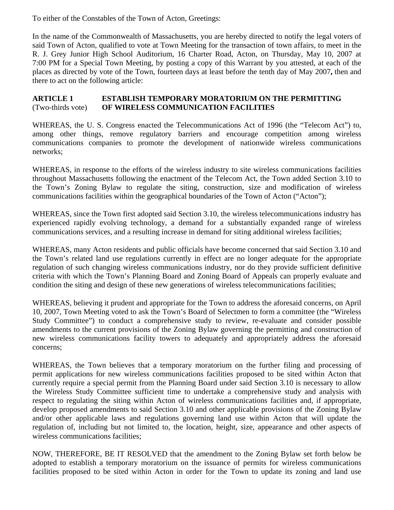To either of the Constables of the Town of Acton, Greetings:

In the name of the Commonwealth of Massachusetts, you are hereby directed to notify the legal voters of said Town of Acton, qualified to vote at Town Meeting for the transaction of town affairs, to meet in the R. J. Grey Junior High School Auditorium, 16 Charter Road, Acton, on Thursday, May 10, 2007 at 7:00 PM for a Special Town Meeting, by posting a copy of this Warrant by you attested, at each of the places as directed by vote of the Town, fourteen days at least before the tenth day of May 2007**,** then and there to act on the following article:

# **ARTICLE 1 ESTABLISH TEMPORARY MORATORIUM ON THE PERMITTING**  (Two-thirds vote) **OF WIRELESS COMMUNICATION FACILITIES**

WHEREAS, the U. S. Congress enacted the Telecommunications Act of 1996 (the "Telecom Act") to, among other things, remove regulatory barriers and encourage competition among wireless communications companies to promote the development of nationwide wireless communications networks;

WHEREAS, in response to the efforts of the wireless industry to site wireless communications facilities throughout Massachusetts following the enactment of the Telecom Act, the Town added Section 3.10 to the Town's Zoning Bylaw to regulate the siting, construction, size and modification of wireless communications facilities within the geographical boundaries of the Town of Acton ("Acton");

WHEREAS, since the Town first adopted said Section 3.10, the wireless telecommunications industry has experienced rapidly evolving technology, a demand for a substantially expanded range of wireless communications services, and a resulting increase in demand for siting additional wireless facilities;

WHEREAS, many Acton residents and public officials have become concerned that said Section 3.10 and the Town's related land use regulations currently in effect are no longer adequate for the appropriate regulation of such changing wireless communications industry, nor do they provide sufficient definitive criteria with which the Town's Planning Board and Zoning Board of Appeals can properly evaluate and condition the siting and design of these new generations of wireless telecommunications facilities;

WHEREAS, believing it prudent and appropriate for the Town to address the aforesaid concerns, on April 10, 2007, Town Meeting voted to ask the Town's Board of Selectmen to form a committee (the "Wireless Study Committee") to conduct a comprehensive study to review, re-evaluate and consider possible amendments to the current provisions of the Zoning Bylaw governing the permitting and construction of new wireless communications facility towers to adequately and appropriately address the aforesaid concerns;

WHEREAS, the Town believes that a temporary moratorium on the further filing and processing of permit applications for new wireless communications facilities proposed to be sited within Acton that currently require a special permit from the Planning Board under said Section 3.10 is necessary to allow the Wireless Study Committee sufficient time to undertake a comprehensive study and analysis with respect to regulating the siting within Acton of wireless communications facilities and, if appropriate, develop proposed amendments to said Section 3.10 and other applicable provisions of the Zoning Bylaw and/or other applicable laws and regulations governing land use within Acton that will update the regulation of, including but not limited to, the location, height, size, appearance and other aspects of wireless communications facilities;

NOW, THEREFORE, BE IT RESOLVED that the amendment to the Zoning Bylaw set forth below be adopted to establish a temporary moratorium on the issuance of permits for wireless communications facilities proposed to be sited within Acton in order for the Town to update its zoning and land use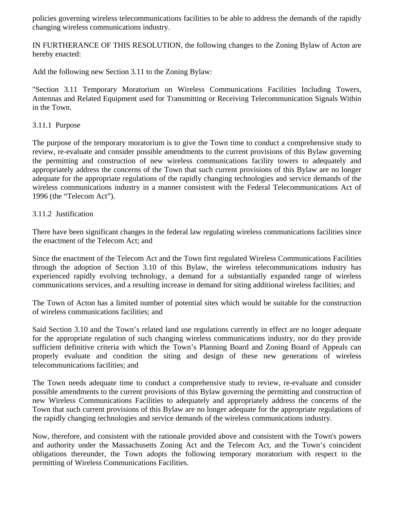policies governing wireless telecommunications facilities to be able to address the demands of the rapidly changing wireless communications industry.

IN FURTHERANCE OF THIS RESOLUTION, the following changes to the Zoning Bylaw of Acton are hereby enacted:

Add the following new Section 3.11 to the Zoning Bylaw:

"Section 3.11 Temporary Moratorium on Wireless Communications Facilities Including Towers, Antennas and Related Equipment used for Transmitting or Receiving Telecommunication Signals Within in the Town.

### 3.11.1 Purpose

The purpose of the temporary moratorium is to give the Town time to conduct a comprehensive study to review, re-evaluate and consider possible amendments to the current provisions of this Bylaw governing the permitting and construction of new wireless communications facility towers to adequately and appropriately address the concerns of the Town that such current provisions of this Bylaw are no longer adequate for the appropriate regulations of the rapidly changing technologies and service demands of the wireless communications industry in a manner consistent with the Federal Telecommunications Act of 1996 (the "Telecom Act").

## 3.11.2 Justification

There have been significant changes in the federal law regulating wireless communications facilities since the enactment of the Telecom Act; and

Since the enactment of the Telecom Act and the Town first regulated Wireless Communications Facilities through the adoption of Section 3.10 of this Bylaw, the wireless telecommunications industry has experienced rapidly evolving technology, a demand for a substantially expanded range of wireless communications services, and a resulting increase in demand for siting additional wireless facilities; and

The Town of Acton has a limited number of potential sites which would be suitable for the construction of wireless communications facilities; and

Said Section 3.10 and the Town's related land use regulations currently in effect are no longer adequate for the appropriate regulation of such changing wireless communications industry, nor do they provide sufficient definitive criteria with which the Town's Planning Board and Zoning Board of Appeals can properly evaluate and condition the siting and design of these new generations of wireless telecommunications facilities; and

The Town needs adequate time to conduct a comprehensive study to review, re-evaluate and consider possible amendments to the current provisions of this Bylaw governing the permitting and construction of new Wireless Communications Facilities to adequately and appropriately address the concerns of the Town that such current provisions of this Bylaw are no longer adequate for the appropriate regulations of the rapidly changing technologies and service demands of the wireless communications industry.

Now, therefore, and consistent with the rationale provided above and consistent with the Town's powers and authority under the Massachusetts Zoning Act and the Telecom Act, and the Town's coincident obligations thereunder*,* the Town adopts the following temporary moratorium with respect to the permitting of Wireless Communications Facilities.